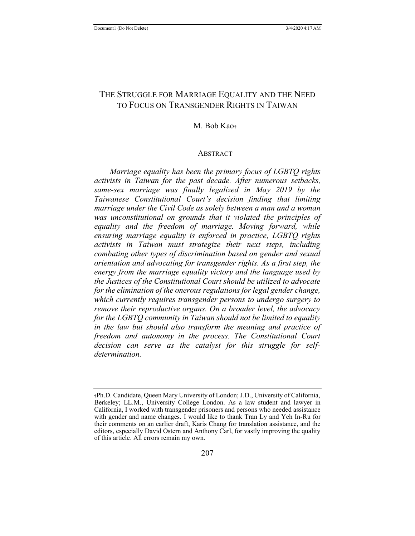# THE STRUGGLE FOR MARRIAGE EQUALITY AND THE NEED TO FOCUS ON TRANSGENDER RIGHTS IN TAIWAN

# M. Bob Kao**†**

#### ABSTRACT

*Marriage equality has been the primary focus of LGBTQ rights activists in Taiwan for the past decade. After numerous setbacks, same-sex marriage was finally legalized in May 2019 by the Taiwanese Constitutional Court's decision finding that limiting marriage under the Civil Code as solely between a man and a woman was unconstitutional on grounds that it violated the principles of equality and the freedom of marriage. Moving forward, while ensuring marriage equality is enforced in practice, LGBTQ rights activists in Taiwan must strategize their next steps, including combating other types of discrimination based on gender and sexual orientation and advocating for transgender rights. As a first step, the energy from the marriage equality victory and the language used by the Justices of the Constitutional Court should be utilized to advocate for the elimination of the onerous regulations for legal gender change, which currently requires transgender persons to undergo surgery to remove their reproductive organs. On a broader level, the advocacy for the LGBTQ community in Taiwan should not be limited to equality in the law but should also transform the meaning and practice of freedom and autonomy in the process. The Constitutional Court decision can serve as the catalyst for this struggle for selfdetermination.*

<sup>†</sup>Ph.D. Candidate, Queen Mary University of London; J.D., University of California, Berkeley; LL.M., University College London. As a law student and lawyer in California, I worked with transgender prisoners and persons who needed assistance with gender and name changes. I would like to thank Tran Ly and Yeh In-Ru for their comments on an earlier draft, Karis Chang for translation assistance, and the editors, especially David Ostern and Anthony Carl, for vastly improving the quality of this article. All errors remain my own.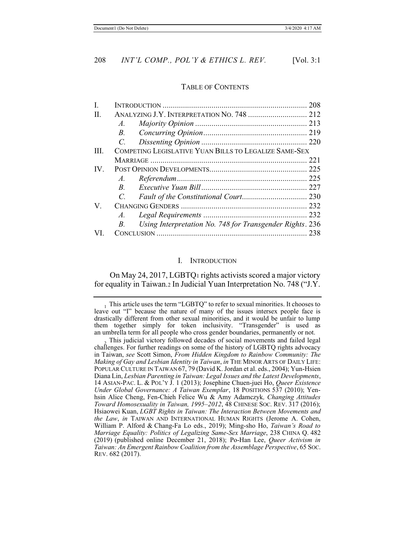#### TABLE OF CONTENTS

| I.   |                                                                        | 208                                                   |  |
|------|------------------------------------------------------------------------|-------------------------------------------------------|--|
| H.   |                                                                        |                                                       |  |
|      | $A_{\cdot}$                                                            |                                                       |  |
|      | <i>B</i> .                                                             |                                                       |  |
|      | $C_{\cdot}$                                                            |                                                       |  |
| III. |                                                                        | COMPETING LEGISLATIVE YUAN BILLS TO LEGALIZE SAME-SEX |  |
|      |                                                                        |                                                       |  |
| IV.  |                                                                        |                                                       |  |
|      | $A$ .                                                                  |                                                       |  |
|      | $\overline{B}$                                                         |                                                       |  |
|      | $\overline{C}$                                                         |                                                       |  |
| V.   |                                                                        |                                                       |  |
|      | A.                                                                     |                                                       |  |
|      | Using Interpretation No. 748 for Transgender Rights. 236<br><i>B</i> . |                                                       |  |
| VI.  |                                                                        |                                                       |  |

#### I. INTRODUCTION

On May 24, 2017, LGBTQ1 rights activists scored a major victory for equality in Taiwan.2 In Judicial Yuan Interpretation No. 748 ("J.Y.

 $_1$  This article uses the term "LGBTQ" to refer to sexual minorities. It chooses to leave out "I" because the nature of many of the issues intersex people face is drastically different from other sexual minorities, and it would be unfair to lump them together simply for token inclusivity. "Transgender" is used as an umbrella term for all people who cross gender boundaries, permanently or not.

This judicial victory followed decades of social movements and failed legal challenges. For further readings on some of the history of LGBTQ rights advocacy in Taiwan, *see* Scott Simon, *From Hidden Kingdom to Rainbow Community: The Making of Gay and Lesbian Identity in Taiwan*, *in* THE MINOR ARTS OF DAILY LIFE: POPULAR CULTURE IN TAIWAN 67, 79 (David K. Jordan et al. eds., 2004); Yun-Hsien Diana Lin, *Lesbian Parenting in Taiwan: Legal Issues and the Latest Developments*, 14 ASIAN-PAC. L. & POL'Y J. 1 (2013); Josephine Chuen-juei Ho, *Queer Existence Under Global Governance: A Taiwan Exemplar*, 18 POSITIONS 537 (2010); Yenhsin Alice Cheng, Fen-Chieh Felice Wu & Amy Adamczyk*, Changing Attitudes Toward Homosexuality in Taiwan, 1995–2012*, 48 CHINESE SOC. REV. 317 (2016); Hsiaowei Kuan, *LGBT Rights in Taiwan: The Interaction Between Movements and the Law*, *in* TAIWAN AND INTERNATIONAL HUMAN RIGHTS (Jerome A. Cohen, William P. Alford & Chang-Fa Lo eds., 2019); Ming-sho Ho, *Taiwan's Road to Marriage Equality: Politics of Legalizing Same-Sex Marriage*, 238 CHINA Q. 482 (2019) (published online December 21, 2018); Po-Han Lee, *Queer Activism in Taiwan: An Emergent Rainbow Coalition from the Assemblage Perspective*, 65 SOC. REV. 682 (2017).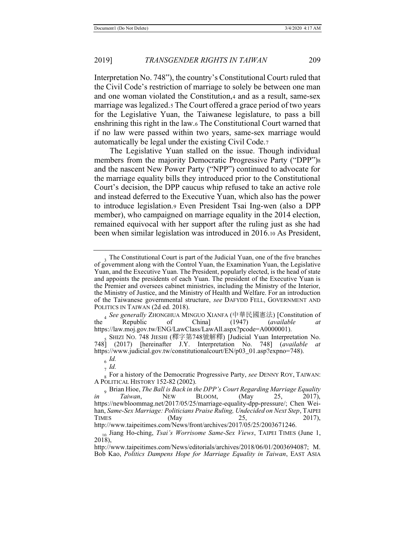Interpretation No. 748"), the country's Constitutional Courts ruled that the Civil Code's restriction of marriage to solely be between one man and one woman violated the Constitution,4 and as a result, same-sex marriage was legalized.5 The Court offered a grace period of two years for the Legislative Yuan, the Taiwanese legislature, to pass a bill enshrining this right in the law.6 The Constitutional Court warned that if no law were passed within two years, same-sex marriage would automatically be legal under the existing Civil Code.7

The Legislative Yuan stalled on the issue. Though individual members from the majority Democratic Progressive Party ("DPP")<sup>8</sup> and the nascent New Power Party ("NPP") continued to advocate for the marriage equality bills they introduced prior to the Constitutional Court's decision, the DPP caucus whip refused to take an active role and instead deferred to the Executive Yuan, which also has the power to introduce legislation.9 Even President Tsai Ing-wen (also a DPP member), who campaigned on marriage equality in the 2014 election, remained equivocal with her support after the ruling just as she had been when similar legislation was introduced in 2016.10 As President,

<sup>6</sup> *Id.* <sup>7</sup> *Id.*

<sup>&</sup>lt;sup>3</sup>. The Constitutional Court is part of the Judicial Yuan, one of the five branches of government along with the Control Yuan, the Examination Yuan, the Legislative Yuan, and the Executive Yuan. The President, popularly elected, is the head of state and appoints the presidents of each Yuan. The president of the Executive Yuan is the Premier and oversees cabinet ministries, including the Ministry of the Interior, the Ministry of Justice, and the Ministry of Health and Welfare. For an introduction of the Taiwanese governmental structure, *see* DAFYDD FELL, GOVERNMENT AND POLITICS IN TAIWAN (2d ed. 2018).

<sup>4</sup> See generally ZHONGHUA MINGUO XIANFA (中華民國憲法) [Constitution of<br>Republic of China] (1947) (*available at* the Republic https://law.moj.gov.tw/ENG/LawClass/LawAll.aspx?pcode=A0000001).

<sup>,</sup>SHIZI NO. 748 JIESHI (釋字第748號解釋) [Judicial Yuan Interpretation No.<br>| (2017) Thereinafter J.Y. Interpretation No. 7481 *(available at* 748] (2017) [hereinafter J.Y. Interpretation No. 748] (*available* https://www.judicial.gov.tw/constitutionalcourt/EN/p03\_01.asp?expno=748).

<sup>8</sup> For a history of the Democratic Progressive Party, *see* DENNY ROY, TAIWAN: A POLITICAL HISTORY 152-82 (2002).

<sup>9</sup> Brian Hioe, *The Ball is Back in the DPP's Court Regarding Marriage Equality Taiwan*, NEW BLOOM, (May 25, 2017), *in Taiwan*, NEW BLOOM, (May 25, 2017), https://newbloommag.net/2017/05/25/marriage-equality-dpp-pressure/; Chen Weihan, *Same-Sex Marriage: Politicians Praise Ruling, Undecided on Next Step*, TAIPEI TIMES (May 25, 2017), http://www.taipeitimes.com/News/front/archives/2017/05/25/2003671246.

<sup>10</sup> Jiang Ho-ching, *Tsai's Worrisome Same-Sex Views*, TAIPEI TIMES (June 1, 2018),

http://www.taipeitimes.com/News/editorials/archives/2018/06/01/2003694087; M. Bob Kao, *Politics Dampens Hope for Marriage Equality in Taiwan*, EAST ASIA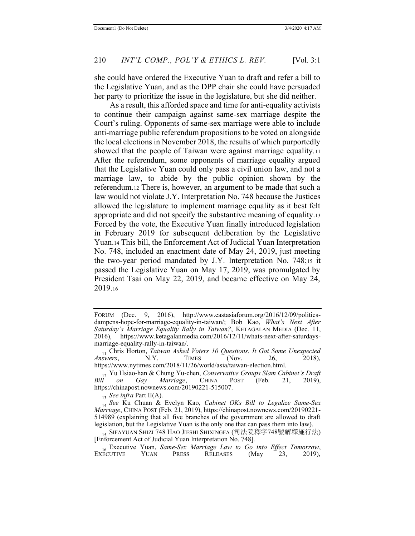she could have ordered the Executive Yuan to draft and refer a bill to the Legislative Yuan, and as the DPP chair she could have persuaded her party to prioritize the issue in the legislature, but she did neither.

As a result, this afforded space and time for anti-equality activists to continue their campaign against same-sex marriage despite the Court's ruling. Opponents of same-sex marriage were able to include anti-marriage public referendum propositions to be voted on alongside the local elections in November 2018, the results of which purportedly showed that the people of Taiwan were against marriage equality.<sup>11</sup> After the referendum, some opponents of marriage equality argued that the Legislative Yuan could only pass a civil union law, and not a marriage law, to abide by the public opinion shown by the referendum.12 There is, however, an argument to be made that such a law would not violate J.Y. Interpretation No. 748 because the Justices allowed the legislature to implement marriage equality as it best felt appropriate and did not specify the substantive meaning of equality.13 Forced by the vote, the Executive Yuan finally introduced legislation in February 2019 for subsequent deliberation by the Legislative Yuan.14 This bill, the Enforcement Act of Judicial Yuan Interpretation No. 748, included an enactment date of May 24, 2019, just meeting the two-year period mandated by J.Y. Interpretation No. 748;15 it passed the Legislative Yuan on May 17, 2019, was promulgated by President Tsai on May 22, 2019, and became effective on May 24, 2019.16

<sup>13</sup> *See infra* Part II(A).

<sup>14</sup> *See* Ku Chuan & Evelyn Kao, *Cabinet OKs Bill to Legalize Same-Sex Marriage*, CHINA POST (Feb. 21, 2019), https://chinapost.nownews.com/20190221- 514989 (explaining that all five branches of the government are allowed to draft legislation, but the Legislative Yuan is the only one that can pass them into law).

<sub>15</sub> SIFAYUAN SHIZI 748 HAO JIESHI SHIXINGFA (司法院釋字748號解釋施行法) [Enforcement Act of Judicial Yuan Interpretation No. 748].

FORUM (Dec. 9, 2016), http://www.eastasiaforum.org/2016/12/09/politicsdampens-hope-for-marriage-equality-in-taiwan/; Bob Kao, *What's Next After Saturday's Marriage Equality Rally in Taiwan?*, KETAGALAN MEDIA (Dec. 11, 2016), https://www.ketagalanmedia.com/2016/12/11/whats-next-after-saturdaysmarriage-equality-rally-in-taiwan/.

<sup>&</sup>lt;sup>11</sup> Chris Horton, *Taiwan Asked Voters 10 Questions. It Got Some Unexpected Answers, N.Y.* TIMES (Nov. 26, 2018), *Answers*, N.Y. TIMES (Nov. 26, 2018), https://www.nytimes.com/2018/11/26/world/asia/taiwan-election.html.

<sup>12</sup> Yu Hsiao-han & Chung Yu-chen, *Conservative Groups Slam Cabinet's Draft Marriage*, https://chinapost.nownews.com/20190221-515007.

<sup>&</sup>lt;sup>16</sup> Executive Yuan, *Same-Sex Marriage Law to Go into Effect Tomorrow*,<br>
ECUTIVE YUAN PRESS RELEASES (May 23, 2019), **EXECUTIVE**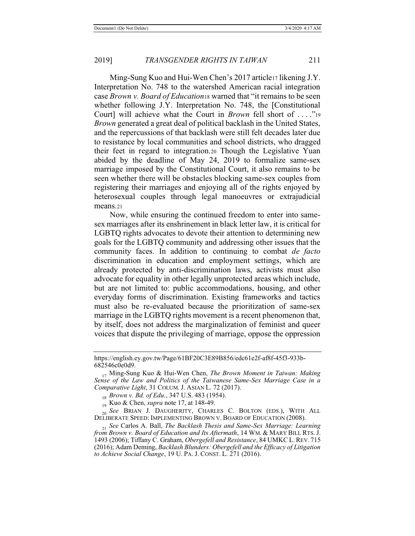Ming-Sung Kuo and Hui-Wen Chen's 2017 article17 likening J.Y. Interpretation No. 748 to the watershed American racial integration case *Brown v. Board of Education*<sup>18</sup> warned that "it remains to be seen whether following J.Y. Interpretation No. 748, the [Constitutional] Court] will achieve what the Court in *Brown* fell short of ...."<sup>19</sup> *Brown* generated a great deal of political backlash in the United States, and the repercussions of that backlash were still felt decades later due to resistance by local communities and school districts, who dragged their feet in regard to integration.20 Though the Legislative Yuan abided by the deadline of May 24, 2019 to formalize same-sex marriage imposed by the Constitutional Court, it also remains to be seen whether there will be obstacles blocking same-sex couples from registering their marriages and enjoying all of the rights enjoyed by heterosexual couples through legal manoeuvres or extrajudicial means.21

Now, while ensuring the continued freedom to enter into samesex marriages after its enshrinement in black letter law, it is critical for LGBTQ rights advocates to devote their attention to determining new goals for the LGBTQ community and addressing other issues that the community faces. In addition to continuing to combat *de facto* discrimination in education and employment settings, which are already protected by anti-discrimination laws, activists must also advocate for equality in other legally unprotected areas which include, but are not limited to: public accommodations, housing, and other everyday forms of discrimination. Existing frameworks and tactics must also be re-evaluated because the prioritization of same-sex marriage in the LGBTQ rights movement is a recent phenomenon that, by itself, does not address the marginalization of feminist and queer voices that dispute the privileging of marriage, oppose the oppression

https://english.ey.gov.tw/Page/61BF20C3E89B856/edc61e2f-af8f-45f3-933b-682546c0e0d9.

<sup>17</sup> Ming-Sung Kuo & Hui-Wen Chen, *The Brown Moment in Taiwan: Making Sense of the Law and Politics of the Taiwanese Same-Sex Marriage Case in a Comparative Light*, 31 COLUM. J. ASIAN L. 72 (2017).

<sup>18</sup> *Brown v. Bd. of Edu.*, 347 U.S. 483 (1954).

<sup>19</sup> Kuo & Chen, *supra* note 17, at 148-49.

<sup>20</sup> *See* BRIAN J. DAUGHERITY, CHARLES C. BOLTON (EDS.), WITH ALL DELIBERATE SPEED: IMPLEMENTING BROWN V. BOARD OF EDUCATION (2008).

<sup>21</sup> *See* Carlos A. Ball, *The Backlash Thesis and Same-Sex Marriage: Learning from Brown v. Board of Education and Its Aftermath*, 14 WM. & MARY BILL RTS.J. 1493 (2006); Tiffany C. Graham, *Obergefell and Resistance*, 84 UMKC L. REV. 715 (2016); Adam Deming, *Backlash Blunders: Obergefell and the Efficacy of Litigation to Achieve Social Change*, 19 U. PA. J. CONST. L. 271 (2016).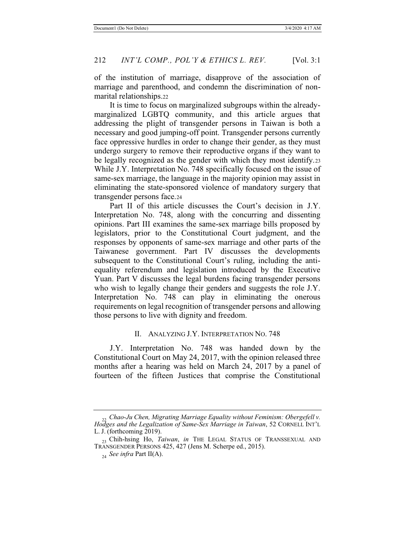of the institution of marriage, disapprove of the association of marriage and parenthood, and condemn the discrimination of nonmarital relationships.22

It is time to focus on marginalized subgroups within the alreadymarginalized LGBTQ community, and this article argues that addressing the plight of transgender persons in Taiwan is both a necessary and good jumping-off point. Transgender persons currently face oppressive hurdles in order to change their gender, as they must undergo surgery to remove their reproductive organs if they want to be legally recognized as the gender with which they most identify.23 While J.Y. Interpretation No. 748 specifically focused on the issue of same-sex marriage, the language in the majority opinion may assist in eliminating the state-sponsored violence of mandatory surgery that transgender persons face.24

Part II of this article discusses the Court's decision in J.Y. Interpretation No. 748, along with the concurring and dissenting opinions. Part III examines the same-sex marriage bills proposed by legislators, prior to the Constitutional Court judgment, and the responses by opponents of same-sex marriage and other parts of the Taiwanese government. Part IV discusses the developments subsequent to the Constitutional Court's ruling, including the antiequality referendum and legislation introduced by the Executive Yuan. Part V discusses the legal burdens facing transgender persons who wish to legally change their genders and suggests the role J.Y. Interpretation No. 748 can play in eliminating the onerous requirements on legal recognition of transgender persons and allowing those persons to live with dignity and freedom.

#### II. ANALYZING J.Y. INTERPRETATION NO. 748

J.Y. Interpretation No. 748 was handed down by the Constitutional Court on May 24, 2017, with the opinion released three months after a hearing was held on March 24, 2017 by a panel of fourteen of the fifteen Justices that comprise the Constitutional

<sup>22</sup> *Chao-Ju Chen, Migrating Marriage Equality without Feminism: Obergefell v. Hodges and the Legalization of Same-Sex Marriage in Taiwan*, 52 CORNELL INT'L L. J. (forthcoming 2019).

<sup>23</sup> Chih-hsing Ho, *Taiwan*, *in* THE LEGAL STATUS OF TRANSSEXUAL AND TRANSGENDER PERSONS 425, 427 (Jens M. Scherpe ed., 2015).

<sup>24</sup> *See infra* Part II(A).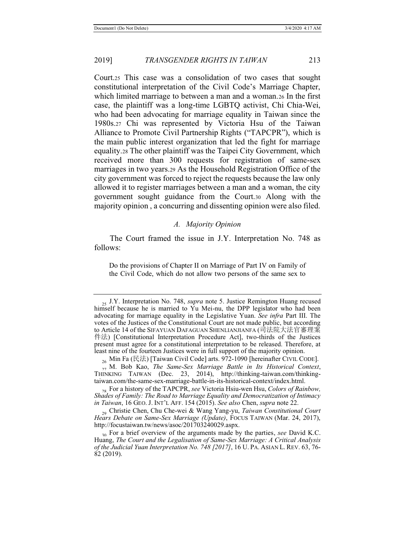Court.25 This case was a consolidation of two cases that sought constitutional interpretation of the Civil Code's Marriage Chapter, which limited marriage to between a man and a woman.26 In the first case, the plaintiff was a long-time LGBTQ activist, Chi Chia-Wei, who had been advocating for marriage equality in Taiwan since the 1980s.27 Chi was represented by Victoria Hsu of the Taiwan Alliance to Promote Civil Partnership Rights ("TAPCPR"), which is the main public interest organization that led the fight for marriage equality.28 The other plaintiff was the Taipei City Government, which received more than 300 requests for registration of same-sex marriages in two years.29 As the Household Registration Office of the city government was forced to reject the requests because the law only allowed it to register marriages between a man and a woman, the city government sought guidance from the Court.30 Along with the majority opinion , a concurring and dissenting opinion were also filed.

### *A. Majority Opinion*

The Court framed the issue in J.Y. Interpretation No. 748 as follows:

Do the provisions of Chapter II on Marriage of Part IV on Family of the Civil Code, which do not allow two persons of the same sex to

<sup>25</sup> J.Y. Interpretation No. 748, *supra* note 5. Justice Remington Huang recused himself because he is married to Yu Mei-nu, the DPP legislator who had been advocating for marriage equality in the Legislative Yuan. *See infra* Part III. The votes of the Justices of the Constitutional Court are not made public, but according to Article 14 of the SIFAYUAN DAFAGUAN SHENLIANJIANFA (司法院大法官審理案 件法) [Constitutional Interpretation Procedure Act], two-thirds of the Justices present must agree for a constitutional interpretation to be released. Therefore, at least nine of the fourteen Justices were in full support of the majority opinion.

 $_{26}$  Min Fa (民法) [Taiwan Civil Code] arts. 972-1090 [hereinafter CIVIL CODE].

<sup>27</sup> M. Bob Kao, *The Same-Sex Marriage Battle in Its Historical Context*, THINKING TAIWAN (Dec. 23, 2014), http://thinking-taiwan.com/thinkingtaiwan.com/the-same-sex-marriage-battle-in-its-historical-context/index.html.

<sup>28</sup> For a history of the TAPCPR, *see* Victoria Hsiu-wen Hsu, *Colors of Rainbow, Shades of Family: The Road to Marriage Equality and Democratization of Intimacy in Taiwan*, 16 GEO. J. INT'L AFF. 154 (2015). *See also* Chen, *supra* note 22.

<sup>29</sup> Christie Chen, Chu Che-wei & Wang Yang-yu, *Taiwan Constitutional Court Hears Debate on Same-Sex Marriage (Update)*, FOCUS TAIWAN (Mar. 24, 2017), http://focustaiwan.tw/news/asoc/201703240029.aspx.

<sup>30</sup> For a brief overview of the arguments made by the parties, *see* David K.C. Huang, *The Court and the Legalisation of Same-Sex Marriage: A Critical Analysis of the Judicial Yuan Interpretation No. 748 [2017]*, 16 U. PA. ASIAN L. REV. 63, 76- 82 (2019).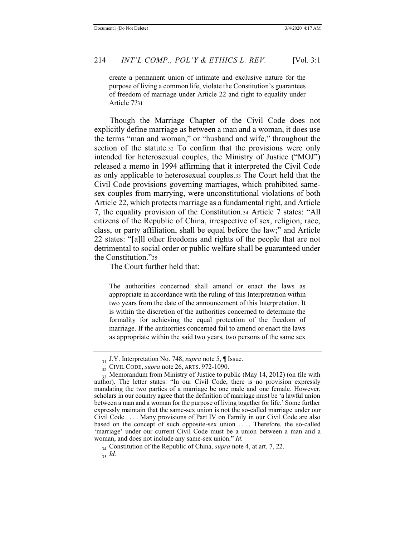create a permanent union of intimate and exclusive nature for the purpose of living a common life, violate the Constitution's guarantees of freedom of marriage under Article 22 and right to equality under Article 7?31

Though the Marriage Chapter of the Civil Code does not explicitly define marriage as between a man and a woman, it does use the terms "man and woman," or "husband and wife," throughout the section of the statute.32 To confirm that the provisions were only intended for heterosexual couples, the Ministry of Justice ("MOJ") released a memo in 1994 affirming that it interpreted the Civil Code as only applicable to heterosexual couples.33 The Court held that the Civil Code provisions governing marriages, which prohibited samesex couples from marrying, were unconstitutional violations of both Article 22, which protects marriage as a fundamental right, and Article 7, the equality provision of the Constitution.34 Article 7 states: "All citizens of the Republic of China, irrespective of sex, religion, race, class, or party affiliation, shall be equal before the law;" and Article 22 states: "[a]ll other freedoms and rights of the people that are not detrimental to social order or public welfare shall be guaranteed under the Constitution."<sup>35</sup>

The Court further held that:

The authorities concerned shall amend or enact the laws as appropriate in accordance with the ruling of this Interpretation within two years from the date of the announcement of this Interpretation. It is within the discretion of the authorities concerned to determine the formality for achieving the equal protection of the freedom of marriage. If the authorities concerned fail to amend or enact the laws as appropriate within the said two years, two persons of the same sex

<sup>31</sup> J.Y. Interpretation No. 748, *supra* note 5, ¶ Issue.

<sup>32</sup> CIVIL CODE, *supra* note 26, ARTS. 972-1090.

 $\frac{1}{33}$  Memorandum from Ministry of Justice to public (May 14, 2012) (on file with author). The letter states: "In our Civil Code, there is no provision expressly mandating the two parties of a marriage be one male and one female. However, scholars in our country agree that the definition of marriage must be 'a lawful union between a man and a woman for the purpose of living together for life.' Some further expressly maintain that the same-sex union is not the so-called marriage under our Civil Code . . . . Many provisions of Part IV on Family in our Civil Code are also based on the concept of such opposite-sex union .... Therefore, the so-called 'marriage' under our current Civil Code must be a union between a man and a woman, and does not include any same-sex union." *Id.*

<sup>34</sup> Constitution of the Republic of China, *supra* note 4, at art. 7, 22. 35 *Id.*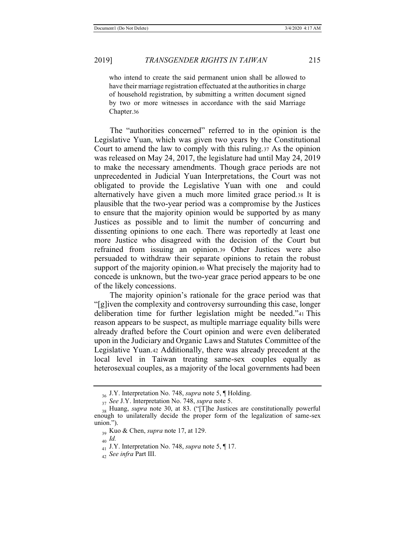who intend to create the said permanent union shall be allowed to have their marriage registration effectuated at the authorities in charge of household registration, by submitting a written document signed by two or more witnesses in accordance with the said Marriage Chapter.36

The "authorities concerned" referred to in the opinion is the Legislative Yuan, which was given two years by the Constitutional Court to amend the law to comply with this ruling.37 As the opinion was released on May 24, 2017, the legislature had until May 24, 2019 to make the necessary amendments. Though grace periods are not unprecedented in Judicial Yuan Interpretations, the Court was not obligated to provide the Legislative Yuan with one and could alternatively have given a much more limited grace period.38 It is plausible that the two-year period was a compromise by the Justices to ensure that the majority opinion would be supported by as many Justices as possible and to limit the number of concurring and dissenting opinions to one each. There was reportedly at least one more Justice who disagreed with the decision of the Court but refrained from issuing an opinion.39 Other Justices were also persuaded to withdraw their separate opinions to retain the robust support of the majority opinion.40 What precisely the majority had to concede is unknown, but the two-year grace period appears to be one of the likely concessions.

The majority opinion's rationale for the grace period was that "[g]iven the complexity and controversy surrounding this case, longer deliberation time for further legislation might be needed."41 This reason appears to be suspect, as multiple marriage equality bills were already drafted before the Court opinion and were even deliberated upon in the Judiciary and Organic Laws and Statutes Committee of the Legislative Yuan.42 Additionally, there was already precedent at the local level in Taiwan treating same-sex couples equally as heterosexual couples, as a majority of the local governments had been

<sup>36</sup> J.Y. Interpretation No. 748, *supra* note 5, ¶ Holding.

<sup>37</sup> *See* J.Y. Interpretation No. 748, *supra* note 5.

<sup>38</sup> Huang, *supra* note 30, at 83. ("[T]he Justices are constitutionally powerful enough to unilaterally decide the proper form of the legalization of same-sex union.").

<sup>39</sup> Kuo & Chen, *supra* note 17, at 129.

<sup>40</sup> *Id.*

<sup>41</sup> J.Y. Interpretation No. 748, *supra* note 5, ¶ 17.

<sup>42</sup> *See infra* Part III.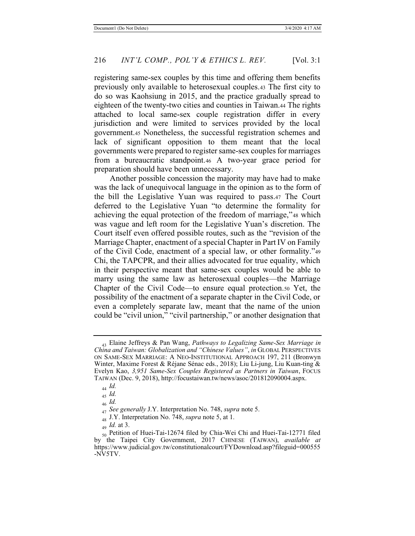registering same-sex couples by this time and offering them benefits previously only available to heterosexual couples.43 The first city to do so was Kaohsiung in 2015, and the practice gradually spread to eighteen of the twenty-two cities and counties in Taiwan.44 The rights attached to local same-sex couple registration differ in every jurisdiction and were limited to services provided by the local government.45 Nonetheless, the successful registration schemes and lack of significant opposition to them meant that the local governments were prepared to register same-sex couples for marriages from a bureaucratic standpoint.46 A two-year grace period for preparation should have been unnecessary.

Another possible concession the majority may have had to make was the lack of unequivocal language in the opinion as to the form of the bill the Legislative Yuan was required to pass.47 The Court deferred to the Legislative Yuan "to determine the formality for achieving the equal protection of the freedom of marriage,"48 which was vague and left room for the Legislative Yuan's discretion. The Court itself even offered possible routes, such as the "revision of the Marriage Chapter, enactment of a special Chapter in Part IV on Family of the Civil Code, enactment of a special law, or other formality."<sup>49</sup> Chi, the TAPCPR, and their allies advocated for true equality, which in their perspective meant that same-sex couples would be able to marry using the same law as heterosexual couples—the Marriage Chapter of the Civil Code—to ensure equal protection.50 Yet, the possibility of the enactment of a separate chapter in the Civil Code, or even a completely separate law, meant that the name of the union could be "civil union," "civil partnership," or another designation that

<sup>43</sup> Elaine Jeffreys & Pan Wang, *Pathways to Legalizing Same-Sex Marriage in China and Taiwan: Globalization and "Chinese Values"*, *in* GLOBAL PERSPECTIVES ON SAME-SEX MARRIAGE: A NEO-INSTITUTIONAL APPROACH 197, 211 (Bronwyn Winter, Maxime Forest & Réjane Sénac eds., 2018); Liu Li-jung, Liu Kuan-ting & Evelyn Kao, *3,951 Same-Sex Couples Registered as Partners in Taiwan*, FOCUS TAIWAN (Dec. 9, 2018), http://focustaiwan.tw/news/asoc/201812090004.aspx.

<sup>44</sup> *Id.*

<sup>45</sup> *Id.*

<sup>46</sup> *Id.*

<sup>47</sup> *See generally* J.Y. Interpretation No. 748, *supra* note 5.

<sup>48</sup> J.Y. Interpretation No. 748, *supra* note 5, at 1.

<sup>49</sup> *Id.* at 3.

<sup>50</sup> Petition of Huei-Tai-12674 filed by Chia-Wei Chi and Huei-Tai-12771 filed by the Taipei City Government, 2017 CHINESE (TAIWAN), *available at* https://www.judicial.gov.tw/constitutionalcourt/FYDownload.asp?fileguid=000555 -NV5TV.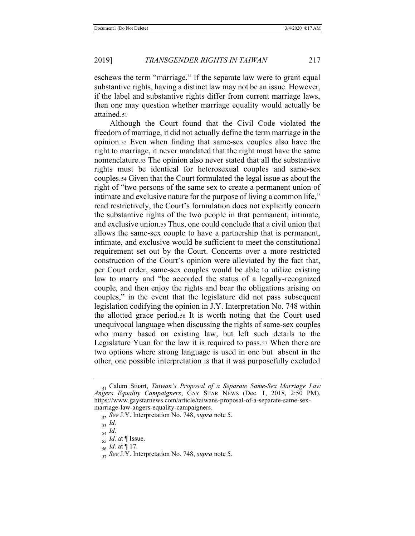eschews the term "marriage." If the separate law were to grant equal substantive rights, having a distinct law may not be an issue. However, if the label and substantive rights differ from current marriage laws, then one may question whether marriage equality would actually be attained.51

Although the Court found that the Civil Code violated the freedom of marriage, it did not actually define the term marriage in the opinion.52 Even when finding that same-sex couples also have the right to marriage, it never mandated that the right must have the same nomenclature.53 The opinion also never stated that all the substantive rights must be identical for heterosexual couples and same-sex couples.54 Given that the Court formulated the legal issue as about the right of "two persons of the same sex to create a permanent union of intimate and exclusive nature for the purpose of living a common life," read restrictively, the Court's formulation does not explicitly concern the substantive rights of the two people in that permanent, intimate, and exclusive union.55 Thus, one could conclude that a civil union that allows the same-sex couple to have a partnership that is permanent, intimate, and exclusive would be sufficient to meet the constitutional requirement set out by the Court. Concerns over a more restricted construction of the Court's opinion were alleviated by the fact that, per Court order, same-sex couples would be able to utilize existing law to marry and "be accorded the status of a legally-recognized couple, and then enjoy the rights and bear the obligations arising on couples," in the event that the legislature did not pass subsequent legislation codifying the opinion in J.Y. Interpretation No. 748 within the allotted grace period.56 It is worth noting that the Court used unequivocal language when discussing the rights of same-sex couples who marry based on existing law, but left such details to the Legislature Yuan for the law it is required to pass.57 When there are two options where strong language is used in one but absent in the other, one possible interpretation is that it was purposefully excluded

<sup>51</sup> Calum Stuart, *Taiwan's Proposal of a Separate Same-Sex Marriage Law Angers Equality Campaigners*, GAY STAR NEWS (Dec. 1, 2018, 2:50 PM), https://www.gaystarnews.com/article/taiwans-proposal-of-a-separate-same-sexmarriage-law-angers-equality-campaigners.

<sup>52</sup> *See* J.Y. Interpretation No. 748, *supra* note 5.

<sup>53</sup> *Id.*

<sup>54</sup> *Id.*

<sup>55</sup> *Id.* at ¶ Issue.

<sup>56</sup> *Id.* at ¶ 17.

<sup>57</sup> *See* J.Y. Interpretation No. 748, *supra* note 5.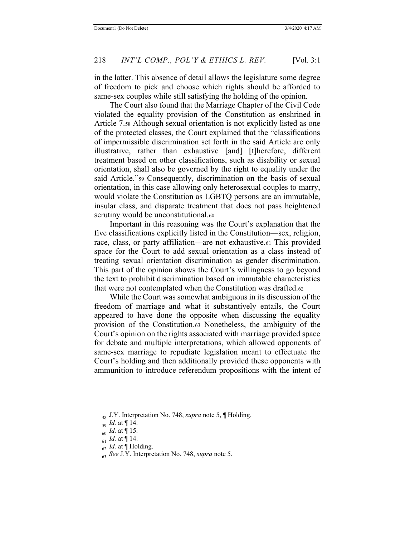in the latter. This absence of detail allows the legislature some degree of freedom to pick and choose which rights should be afforded to same-sex couples while still satisfying the holding of the opinion.

The Court also found that the Marriage Chapter of the Civil Code violated the equality provision of the Constitution as enshrined in Article 7.58 Although sexual orientation is not explicitly listed as one of the protected classes, the Court explained that the "classifications of impermissible discrimination set forth in the said Article are only illustrative, rather than exhaustive [and] [t]herefore, different treatment based on other classifications, such as disability or sexual orientation, shall also be governed by the right to equality under the said Article."59 Consequently, discrimination on the basis of sexual orientation, in this case allowing only heterosexual couples to marry, would violate the Constitution as LGBTQ persons are an immutable, insular class, and disparate treatment that does not pass heightened scrutiny would be unconstitutional.<sup>60</sup>

Important in this reasoning was the Court's explanation that the five classifications explicitly listed in the Constitution—sex, religion, race, class, or party affiliation—are not exhaustive.61 This provided space for the Court to add sexual orientation as a class instead of treating sexual orientation discrimination as gender discrimination. This part of the opinion shows the Court's willingness to go beyond the text to prohibit discrimination based on immutable characteristics that were not contemplated when the Constitution was drafted.62

While the Court was somewhat ambiguous in its discussion of the freedom of marriage and what it substantively entails, the Court appeared to have done the opposite when discussing the equality provision of the Constitution.63 Nonetheless, the ambiguity of the Court's opinion on the rights associated with marriage provided space for debate and multiple interpretations, which allowed opponents of same-sex marriage to repudiate legislation meant to effectuate the Court's holding and then additionally provided these opponents with ammunition to introduce referendum propositions with the intent of

<sup>58</sup> J.Y. Interpretation No. 748, *supra* note 5, ¶ Holding.

<sup>59</sup> *Id.* at ¶ 14.

<sup>60</sup> *Id.* at ¶ 15.

<sup>61</sup> *Id.* at ¶ 14.

<sup>62</sup> *Id.* at ¶ Holding.

<sup>63</sup> *See* J.Y. Interpretation No. 748, *supra* note 5.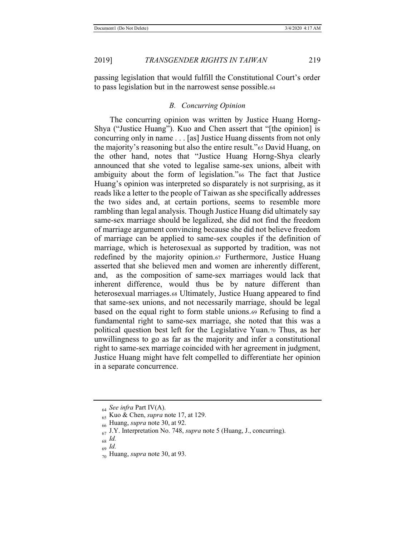passing legislation that would fulfill the Constitutional Court's order to pass legislation but in the narrowest sense possible.64

# *B. Concurring Opinion*

The concurring opinion was written by Justice Huang Horng-Shya ("Justice Huang"). Kuo and Chen assert that "[the opinion] is concurring only in name . . . [as] Justice Huang dissents from not only the majority's reasoning but also the entire result."65 David Huang, on the other hand, notes that "Justice Huang Horng-Shya clearly announced that she voted to legalise same-sex unions, albeit with ambiguity about the form of legislation."66 The fact that Justice Huang's opinion was interpreted so disparately is not surprising, as it reads like a letter to the people of Taiwan as she specifically addresses the two sides and, at certain portions, seems to resemble more rambling than legal analysis. Though Justice Huang did ultimately say same-sex marriage should be legalized, she did not find the freedom of marriage argument convincing because she did not believe freedom of marriage can be applied to same-sex couples if the definition of marriage, which is heterosexual as supported by tradition, was not redefined by the majority opinion.67 Furthermore, Justice Huang asserted that she believed men and women are inherently different, and, as the composition of same-sex marriages would lack that inherent difference, would thus be by nature different than heterosexual marriages.68 Ultimately, Justice Huang appeared to find that same-sex unions, and not necessarily marriage, should be legal based on the equal right to form stable unions.69 Refusing to find a fundamental right to same-sex marriage, she noted that this was a political question best left for the Legislative Yuan.70 Thus, as her unwillingness to go as far as the majority and infer a constitutional right to same-sex marriage coincided with her agreement in judgment, Justice Huang might have felt compelled to differentiate her opinion in a separate concurrence.

<sup>64</sup> *See infra* Part IV(A).

<sup>65</sup> Kuo & Chen, *supra* note 17, at 129.

<sup>66</sup> Huang, *supra* note 30, at 92.

<sup>67</sup> J.Y. Interpretation No. 748, *supra* note 5 (Huang, J., concurring).

<sup>68</sup> *Id.*

<sup>69</sup> *Id.*

<sup>70</sup> Huang, *supra* note 30, at 93.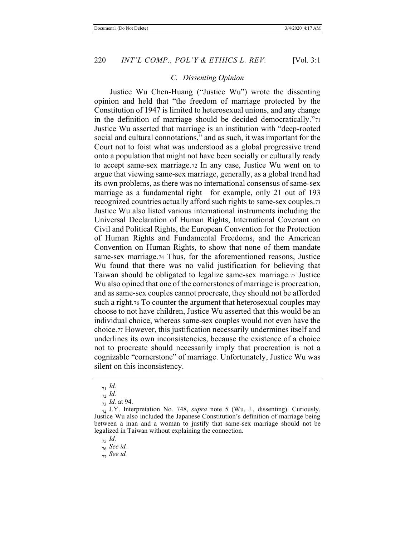# *C. Dissenting Opinion*

Justice Wu Chen-Huang ("Justice Wu") wrote the dissenting opinion and held that "the freedom of marriage protected by the Constitution of 1947 is limited to heterosexual unions, and any change in the definition of marriage should be decided democratically."<sup>71</sup> Justice Wu asserted that marriage is an institution with "deep-rooted social and cultural connotations," and as such, it was important for the Court not to foist what was understood as a global progressive trend onto a population that might not have been socially or culturally ready to accept same-sex marriage.72 In any case, Justice Wu went on to argue that viewing same-sex marriage, generally, as a global trend had its own problems, as there was no international consensus of same-sex marriage as a fundamental right—for example, only 21 out of 193 recognized countries actually afford such rights to same-sex couples.73 Justice Wu also listed various international instruments including the Universal Declaration of Human Rights, International Covenant on Civil and Political Rights, the European Convention for the Protection of Human Rights and Fundamental Freedoms, and the American Convention on Human Rights, to show that none of them mandate same-sex marriage.74 Thus, for the aforementioned reasons, Justice Wu found that there was no valid justification for believing that Taiwan should be obligated to legalize same-sex marriage.75 Justice Wu also opined that one of the cornerstones of marriage is procreation, and as same-sex couples cannot procreate, they should not be afforded such a right.76 To counter the argument that heterosexual couples may choose to not have children, Justice Wu asserted that this would be an individual choice, whereas same-sex couples would not even have the choice.77 However, this justification necessarily undermines itself and underlines its own inconsistencies, because the existence of a choice not to procreate should necessarily imply that procreation is not a cognizable "cornerstone" of marriage. Unfortunately, Justice Wu was silent on this inconsistency.

<sup>75</sup> *Id.*

<sup>71</sup> *Id.*

<sup>72</sup> *Id.*

<sup>73</sup> *Id.* at 94.

<sup>74</sup> J.Y. Interpretation No. 748, *supra* note 5 (Wu, J., dissenting). Curiously, Justice Wu also included the Japanese Constitution's definition of marriage being between a man and a woman to justify that same-sex marriage should not be legalized in Taiwan without explaining the connection.

<sup>76</sup> *See id.*

<sup>77</sup> *See id.*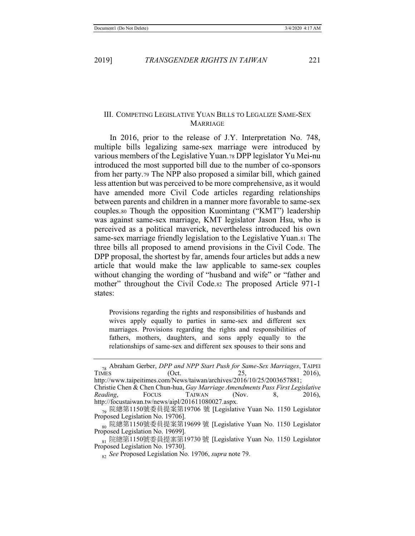# III. COMPETING LEGISLATIVE YUAN BILLS TO LEGALIZE SAME-SEX **MARRIAGE**

In 2016, prior to the release of J.Y. Interpretation No. 748, multiple bills legalizing same-sex marriage were introduced by various members of the Legislative Yuan.78 DPP legislator Yu Mei-nu introduced the most supported bill due to the number of co-sponsors from her party.79 The NPP also proposed a similar bill, which gained less attention but was perceived to be more comprehensive, as it would have amended more Civil Code articles regarding relationships between parents and children in a manner more favorable to same-sex couples.80 Though the opposition Kuomintang ("KMT") leadership was against same-sex marriage, KMT legislator Jason Hsu, who is perceived as a political maverick, nevertheless introduced his own same-sex marriage friendly legislation to the Legislative Yuan.81 The three bills all proposed to amend provisions in the Civil Code. The DPP proposal, the shortest by far, amends four articles but adds a new article that would make the law applicable to same-sex couples without changing the wording of "husband and wife" or "father and mother" throughout the Civil Code.82 The proposed Article 971-1 states:

Provisions regarding the rights and responsibilities of husbands and wives apply equally to parties in same-sex and different sex marriages. Provisions regarding the rights and responsibilities of fathers, mothers, daughters, and sons apply equally to the relationships of same-sex and different sex spouses to their sons and

*Reading*, FOCUS TAIWAN (Nov. 8, 2016), http://focustaiwan.tw/news/aipl/201611080027.aspx.

<sup>&</sup>lt;sup>78</sup> Abraham Gerber, *DPP and NPP Start Push for Same-Sex Marriages*, TAIPEI<br>TIMES (Oct. 25, 2016), TIMES (Oct. 25, 2016), http://www.taipeitimes.com/News/taiwan/archives/2016/10/25/2003657881; Christie Chen & Chen Chun-hua, *Gay Marriage Amendments Pass First Legislative* 

<sup>&</sup>lt;sub>79</sub> 院總第1150號委員提案第19706 號 [Legislative Yuan No. 1150 Legislator Proposed Legislation No. 19706].

<sup>&</sup>lt;sub>so</sub> 院總第1150號委員提案第19699 號 [Legislative Yuan No. 1150 Legislator Proposed Legislation No. 19699].

<sup>&</sup>lt;sub>81</sub> 院總第1150號委員提案第19730 號 [Legislative Yuan No. 1150 Legislator Proposed Legislation No. 19730].

<sup>82</sup> *See* Proposed Legislation No. 19706, *supra* note 79.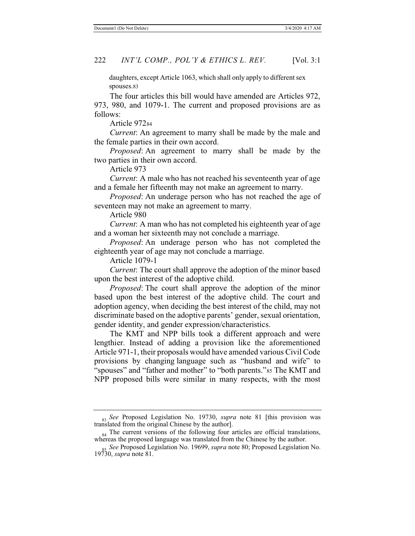daughters, except Article 1063, which shall only apply to different sex spouses.83

The four articles this bill would have amended are Articles 972, 973, 980, and 1079-1. The current and proposed provisions are as follows:

Article 97284

*Current*: An agreement to marry shall be made by the male and the female parties in their own accord.

*Proposed*: An agreement to marry shall be made by the two parties in their own accord.

Article 973

*Current*: A male who has not reached his seventeenth year of age and a female her fifteenth may not make an agreement to marry.

*Proposed*: An underage person who has not reached the age of seventeen may not make an agreement to marry.

Article 980

*Current*: A man who has not completed his eighteenth year of age and a woman her sixteenth may not conclude a marriage.

*Proposed*: An underage person who has not completed the eighteenth year of age may not conclude a marriage.

Article 1079-1

*Current*: The court shall approve the adoption of the minor based upon the best interest of the adoptive child.

*Proposed*: The court shall approve the adoption of the minor based upon the best interest of the adoptive child. The court and adoption agency, when deciding the best interest of the child, may not discriminate based on the adoptive parents' gender, sexual orientation, gender identity, and gender expression/characteristics.

The KMT and NPP bills took a different approach and were lengthier. Instead of adding a provision like the aforementioned Article 971-1, their proposals would have amended various Civil Code provisions by changing language such as "husband and wife" to "spouses" and "father and mother" to "both parents."85 The KMT and NPP proposed bills were similar in many respects, with the most

<sup>83</sup> *See* Proposed Legislation No. 19730, *supra* note 81 [this provision was translated from the original Chinese by the author].

 $_{84}$  The current versions of the following four articles are official translations, whereas the proposed language was translated from the Chinese by the author.

<sup>85</sup> *See* Proposed Legislation No. 19699, *supra* note 80; Proposed Legislation No. 19730, *supra* note 81.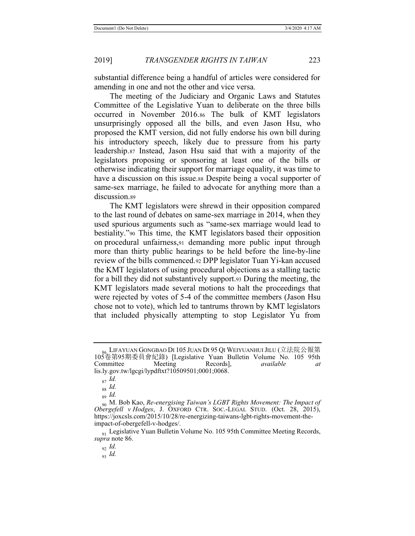substantial difference being a handful of articles were considered for amending in one and not the other and vice versa.

The meeting of the Judiciary and Organic Laws and Statutes Committee of the Legislative Yuan to deliberate on the three bills occurred in November 2016.86 The bulk of KMT legislators unsurprisingly opposed all the bills, and even Jason Hsu, who proposed the KMT version, did not fully endorse his own bill during his introductory speech, likely due to pressure from his party leadership.87 Instead, Jason Hsu said that with a majority of the legislators proposing or sponsoring at least one of the bills or otherwise indicating their support for marriage equality, it was time to have a discussion on this issue.88 Despite being a vocal supporter of same-sex marriage, he failed to advocate for anything more than a discussion.89

The KMT legislators were shrewd in their opposition compared to the last round of debates on same-sex marriage in 2014, when they used spurious arguments such as "same-sex marriage would lead to bestiality."90 This time, the KMT legislators based their opposition on procedural unfairness,91 demanding more public input through more than thirty public hearings to be held before the line-by-line review of the bills commenced.92 DPP legislator Tuan Yi-kan accused the KMT legislators of using procedural objections as a stalling tactic for a bill they did not substantively support.93 During the meeting, the KMT legislators made several motions to halt the proceedings that were rejected by votes of 5-4 of the committee members (Jason Hsu chose not to vote), which led to tantrums thrown by KMT legislators that included physically attempting to stop Legislator Yu from

LIFAYUAN GONGBAO DI 105 JUAN DI 95 QI WEIYUANHUI JILU (立法院公報第 105卷第95期委員會紀錄) [Legislative Yuan Bulletin Volume No. 105 95th Committee Meeting Records], *available at* lis.ly.gov.tw/lgcgi/lypdftxt?10509501;0001;0068.

<sup>87</sup> *Id.*

<sup>88</sup> *Id.*

<sup>89</sup> *Id.*

<sup>90</sup> M. Bob Kao, *Re-energising Taiwan's LGBT Rights Movement: The Impact of Obergefell v Hodges*, J. OXFORD CTR. SOC.-LEGAL STUD. (Oct. 28, 2015), https://joxcsls.com/2015/10/28/re-energizing-taiwans-lgbt-rights-movement-theimpact-of-obergefell-v-hodges/.

<sup>&</sup>lt;sub>01</sub> Legislative Yuan Bulletin Volume No. 105 95th Committee Meeting Records, *supra* note 86.

<sup>92</sup> *Id.*

<sup>93</sup> *Id.*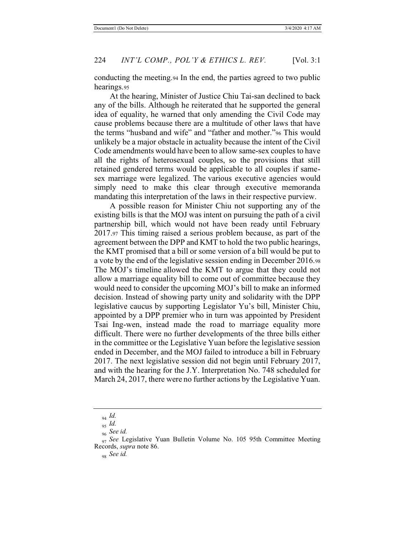conducting the meeting.94 In the end, the parties agreed to two public hearings.95

At the hearing, Minister of Justice Chiu Tai-san declined to back any of the bills. Although he reiterated that he supported the general idea of equality, he warned that only amending the Civil Code may cause problems because there are a multitude of other laws that have the terms "husband and wife" and "father and mother."96 This would unlikely be a major obstacle in actuality because the intent of the Civil Code amendments would have been to allow same-sex couples to have all the rights of heterosexual couples, so the provisions that still retained gendered terms would be applicable to all couples if samesex marriage were legalized. The various executive agencies would simply need to make this clear through executive memoranda mandating this interpretation of the laws in their respective purview.

A possible reason for Minister Chiu not supporting any of the existing bills is that the MOJ was intent on pursuing the path of a civil partnership bill, which would not have been ready until February 2017.97 This timing raised a serious problem because, as part of the agreement between the DPP and KMT to hold the two public hearings, the KMT promised that a bill or some version of a bill would be put to a vote by the end of the legislative session ending in December 2016.98 The MOJ's timeline allowed the KMT to argue that they could not allow a marriage equality bill to come out of committee because they would need to consider the upcoming MOJ's bill to make an informed decision. Instead of showing party unity and solidarity with the DPP legislative caucus by supporting Legislator Yu's bill, Minister Chiu, appointed by a DPP premier who in turn was appointed by President Tsai Ing-wen, instead made the road to marriage equality more difficult. There were no further developments of the three bills either in the committee or the Legislative Yuan before the legislative session ended in December, and the MOJ failed to introduce a bill in February 2017. The next legislative session did not begin until February 2017, and with the hearing for the J.Y. Interpretation No. 748 scheduled for March 24, 2017, there were no further actions by the Legislative Yuan.

98 *See id.*

<sup>94</sup> *Id.*

<sup>95</sup> *Id.* <sup>96</sup> *See id.*

<sup>&</sup>lt;sub>97</sub> See Legislative Yuan Bulletin Volume No. 105 95th Committee Meeting Records, *supra* note 86.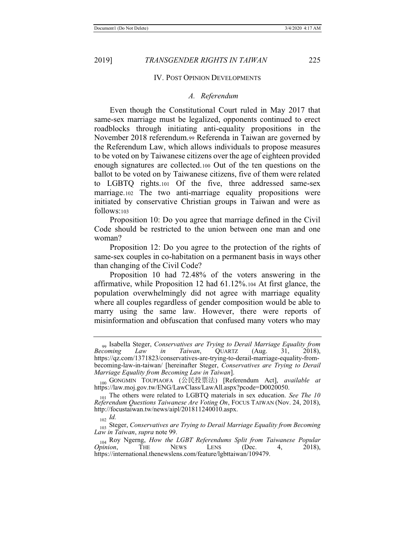#### IV. POST OPINION DEVELOPMENTS

### *A. Referendum*

Even though the Constitutional Court ruled in May 2017 that same-sex marriage must be legalized, opponents continued to erect roadblocks through initiating anti-equality propositions in the November 2018 referendum.99 Referenda in Taiwan are governed by the Referendum Law, which allows individuals to propose measures to be voted on by Taiwanese citizens over the age of eighteen provided enough signatures are collected.100 Out of the ten questions on the ballot to be voted on by Taiwanese citizens, five of them were related to LGBTQ rights.101 Of the five, three addressed same-sex marriage.102 The two anti-marriage equality propositions were initiated by conservative Christian groups in Taiwan and were as follows:103

Proposition 10: Do you agree that marriage defined in the Civil Code should be restricted to the union between one man and one woman?

Proposition 12: Do you agree to the protection of the rights of same-sex couples in co-habitation on a permanent basis in ways other than changing of the Civil Code?

Proposition 10 had 72.48% of the voters answering in the affirmative, while Proposition 12 had 61.12%.104 At first glance, the population overwhelmingly did not agree with marriage equality where all couples regardless of gender composition would be able to marry using the same law. However, there were reports of misinformation and obfuscation that confused many voters who may

<sup>&</sup>lt;sub>99</sub> Isabella Steger, *Conservatives are Trying to Derail Marriage Equality from Becoming Law in Taiwan*, QUARTZ (Aug. 31, 2018), *Becoming Law in Taiwan*, QUARTZ (Aug. 31, 2018), https://qz.com/1371823/conservatives-are-trying-to-derail-marriage-equality-frombecoming-law-in-taiwan/ [hereinafter Steger, *Conservatives are Trying to Derail Marriage Equality from Becoming Law in Taiwan*].

<sup>100</sup> GONGMIN TOUPIAOFA (ޜ≁ᣅ⾘⌅) [Referendum Act], *available at* https://law.moj.gov.tw/ENG/LawClass/LawAll.aspx?pcode=D0020050.

<sup>101</sup> The others were related to LGBTQ materials in sex education. *See The 10 Referendum Questions Taiwanese Are Voting On*, FOCUS TAIWAN (Nov. 24, 2018), http://focustaiwan.tw/news/aipl/201811240010.aspx.

 $_{102}$  *Id.* 

<sup>103</sup> Steger, *Conservatives are Trying to Derail Marriage Equality from Becoming Law in Taiwan*, *supra* note 99.

<sup>&</sup>lt;sup>104</sup> Roy Ngerng, *How the LGBT Referendums Split from Taiwanese Popular Opinion, THE NEWS LENS (Dec. 4, 2018), Opinion*, THE NEWS LENS (Dec. 4, 2018), https://international.thenewslens.com/feature/lgbttaiwan/109479.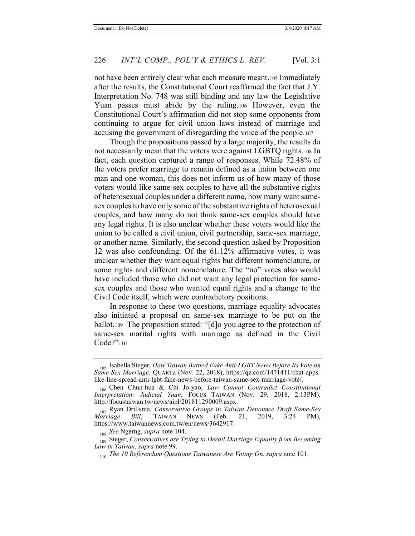not have been entirely clear what each measure meant.105 Immediately after the results, the Constitutional Court reaffirmed the fact that J.Y. Interpretation No. 748 was still binding and any law the Legislative Yuan passes must abide by the ruling.106 However, even the Constitutional Court's affirmation did not stop some opponents from continuing to argue for civil union laws instead of marriage and accusing the government of disregarding the voice of the people.107

Though the propositions passed by a large majority, the results do not necessarily mean that the voters were against LGBTQ rights.108 In fact, each question captured a range of responses. While 72.48% of the voters prefer marriage to remain defined as a union between one man and one woman, this does not inform us of how many of those voters would like same-sex couples to have all the substantive rights of heterosexual couples under a different name, how many want samesex couples to have only some of the substantive rights of heterosexual couples, and how many do not think same-sex couples should have any legal rights. It is also unclear whether these voters would like the union to be called a civil union, civil partnership, same-sex marriage, or another name. Similarly, the second question asked by Proposition 12 was also confounding. Of the 61.12% affirmative votes, it was unclear whether they want equal rights but different nomenclature, or some rights and different nomenclature. The "no" votes also would have included those who did not want any legal protection for samesex couples and those who wanted equal rights and a change to the Civil Code itself, which were contradictory positions.

In response to these two questions, marriage equality advocates also initiated a proposal on same-sex marriage to be put on the ballot.109 The proposition stated: "[d]o you agree to the protection of same-sex marital rights with marriage as defined in the Civil Code?"<sup>110</sup>

<sup>105</sup> Isabella Steger, *How Taiwan Battled Fake Anti-LGBT News Before Its Vote on Same-Sex Marriage*, QUARTZ (Nov. 22, 2018), https://qz.com/1471411/chat-appslike-line-spread-anti-lgbt-fake-news-before-taiwan-same-sex-marriage-vote/.

<sup>106</sup> Chen Chun-hua & Chi Jo-yao, *Law Cannot Contradict Constitutional Interpretation: Judicial Yuan*, FOCUS TAIWAN (Nov. 29, 2018, 2:13PM), http://focustaiwan.tw/news/aipl/201811290009.aspx.

<sup>107</sup> Ryan Drillsma, *Conservative Groups in Taiwan Denounce Draft Same-Sex Marriage Bill*, TAIWAN NEWS (Feb. 21, 2019, 3:24 PM), https://www.taiwannews.com.tw/en/news/3642917.

<sup>108</sup> *See* Ngerng, *supra* note 104.

<sup>109</sup> Steger, *Conservatives are Trying to Derail Marriage Equality from Becoming Law in Taiwan*, *supra* note 99.

<sup>110</sup> *The 10 Referendum Questions Taiwanese Are Voting On*, *supra* note 101.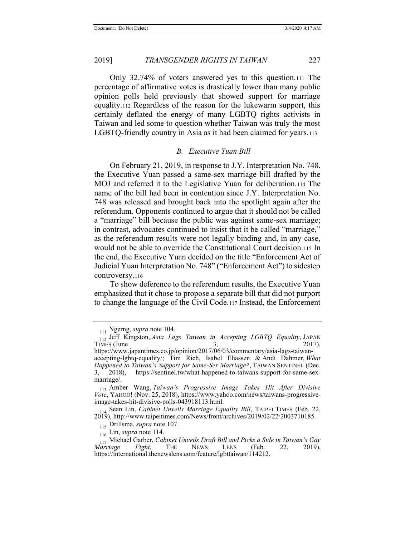Only 32.74% of voters answered yes to this question.111 The percentage of affirmative votes is drastically lower than many public opinion polls held previously that showed support for marriage equality.112 Regardless of the reason for the lukewarm support, this certainly deflated the energy of many LGBTQ rights activists in Taiwan and led some to question whether Taiwan was truly the most LGBTQ-friendly country in Asia as it had been claimed for years.113

#### *B. Executive Yuan Bill*

On February 21, 2019, in response to J.Y. Interpretation No. 748, the Executive Yuan passed a same-sex marriage bill drafted by the MOJ and referred it to the Legislative Yuan for deliberation.114 The name of the bill had been in contention since J.Y. Interpretation No. 748 was released and brought back into the spotlight again after the referendum. Opponents continued to argue that it should not be called a "marriage" bill because the public was against same-sex marriage; in contrast, advocates continued to insist that it be called "marriage," as the referendum results were not legally binding and, in any case, would not be able to override the Constitutional Court decision.115 In the end, the Executive Yuan decided on the title "Enforcement Act of Judicial Yuan Interpretation No. 748" ("Enforcement Act") to sidestep controversy.116

To show deference to the referendum results, the Executive Yuan emphasized that it chose to propose a separate bill that did not purport to change the language of the Civil Code.117 Instead, the Enforcement

<sup>115</sup> Drillsma, *supra* note 107.

<sup>111</sup> Ngerng, *supra* note 104.

<sup>&</sup>lt;sup>112</sup> Jeff Kingston, *Asia Lags Taiwan in Accepting LGBTQ Equality*, JAPAN TIMES (June 3, 2017), TIMES (June  $3$ , 2017),

https://www.japantimes.co.jp/opinion/2017/06/03/commentary/asia-lags-taiwanaccepting-lgbtq-equality/; Tim Rich, Isabel Eliassen & Andi Dahmer, *What Happened to Taiwan's Support for Same-Sex Marriage?*, TAIWAN SENTINEL (Dec. 3, 2018), https://sentinel.tw/what-happened-to-taiwans-support-for-same-sexmarriage/.

<sup>113</sup> Amber Wang, *Taiwan's Progressive Image Takes Hit After Divisive Vote*, YAHOO! (Nov. 25, 2018), https://www.yahoo.com/news/taiwans-progressiveimage-takes-hit-divisive-polls-043918113.html.

<sup>&</sup>lt;sup>14</sup> Sean Lin, *Cabinet Unveils Marriage Equality Bill*, TAIPEI TIMES (Feb. 22, 2019), http://www.taipeitimes.com/News/front/archives/2019/02/22/2003710185.

<sup>116</sup> Lin, *supra* note 114.

<sup>117</sup> Michael Garber, *Cabinet Unveils Draft Bill and Picks a Side in Taiwan's Gay Marriage Fight*, THE NEWS LENS (Feb. 22, 2019), https://international.thenewslens.com/feature/lgbttaiwan/114212.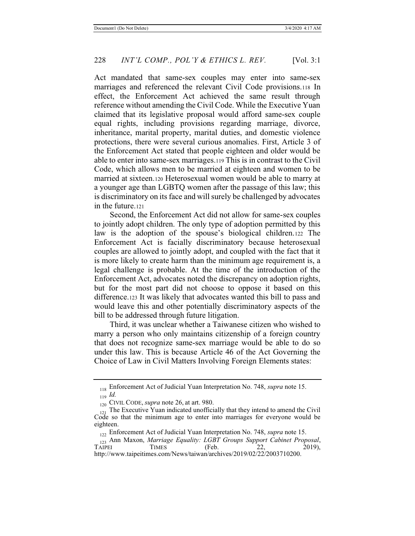Act mandated that same-sex couples may enter into same-sex marriages and referenced the relevant Civil Code provisions.118 In effect, the Enforcement Act achieved the same result through reference without amending the Civil Code. While the Executive Yuan claimed that its legislative proposal would afford same-sex couple equal rights, including provisions regarding marriage, divorce, inheritance, marital property, marital duties, and domestic violence protections, there were several curious anomalies. First, Article 3 of the Enforcement Act stated that people eighteen and older would be able to enter into same-sex marriages.119 This is in contrast to the Civil Code, which allows men to be married at eighteen and women to be married at sixteen.120 Heterosexual women would be able to marry at a younger age than LGBTQ women after the passage of this law; this is discriminatory on its face and will surely be challenged by advocates in the future.121

Second, the Enforcement Act did not allow for same-sex couples to jointly adopt children. The only type of adoption permitted by this law is the adoption of the spouse's biological children.122 The Enforcement Act is facially discriminatory because heterosexual couples are allowed to jointly adopt, and coupled with the fact that it is more likely to create harm than the minimum age requirement is, a legal challenge is probable. At the time of the introduction of the Enforcement Act, advocates noted the discrepancy on adoption rights, but for the most part did not choose to oppose it based on this difference.123 It was likely that advocates wanted this bill to pass and would leave this and other potentially discriminatory aspects of the bill to be addressed through future litigation.

Third, it was unclear whether a Taiwanese citizen who wished to marry a person who only maintains citizenship of a foreign country that does not recognize same-sex marriage would be able to do so under this law. This is because Article 46 of the Act Governing the Choice of Law in Civil Matters Involving Foreign Elements states:

<sup>118</sup> Enforcement Act of Judicial Yuan Interpretation No. 748, *supra* note 15. <sup>119</sup> *Id.*

<sup>120</sup> CIVIL CODE, *supra* note 26, at art. 980.

 $_{121}$  The Executive Yuan indicated unofficially that they intend to amend the Civil Code so that the minimum age to enter into marriages for everyone would be eighteen.

<sup>122</sup> Enforcement Act of Judicial Yuan Interpretation No. 748, *supra* note 15.

<sup>&</sup>lt;sub>123</sub> Ann Maxon, *Marriage Equality: LGBT Groups Support Cabinet Proposal*,<br>TAIPEI TIMES (Feb. 22, 2019), TAIPEI TIMES (Feb. 22, 2019), http://www.taipeitimes.com/News/taiwan/archives/2019/02/22/2003710200.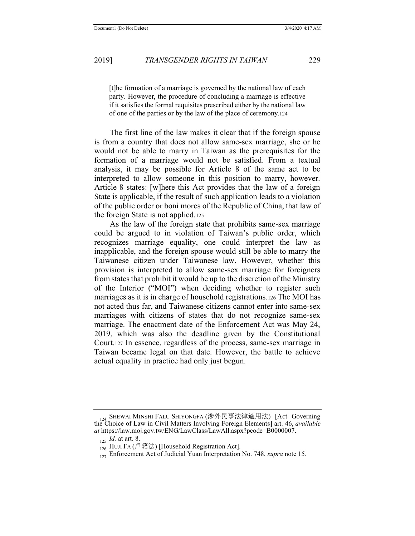[t]he formation of a marriage is governed by the national law of each party. However, the procedure of concluding a marriage is effective if it satisfies the formal requisites prescribed either by the national law of one of the parties or by the law of the place of ceremony.124

The first line of the law makes it clear that if the foreign spouse is from a country that does not allow same-sex marriage, she or he would not be able to marry in Taiwan as the prerequisites for the formation of a marriage would not be satisfied. From a textual analysis, it may be possible for Article 8 of the same act to be interpreted to allow someone in this position to marry, however. Article 8 states: [w]here this Act provides that the law of a foreign State is applicable, if the result of such application leads to a violation of the public order or boni mores of the Republic of China, that law of the foreign State is not applied.125

As the law of the foreign state that prohibits same-sex marriage could be argued to in violation of Taiwan's public order, which recognizes marriage equality, one could interpret the law as inapplicable, and the foreign spouse would still be able to marry the Taiwanese citizen under Taiwanese law. However, whether this provision is interpreted to allow same-sex marriage for foreigners from states that prohibit it would be up to the discretion of the Ministry of the Interior ("MOI") when deciding whether to register such marriages as it is in charge of household registrations.126 The MOI has not acted thus far, and Taiwanese citizens cannot enter into same-sex marriages with citizens of states that do not recognize same-sex marriage. The enactment date of the Enforcement Act was May 24, 2019, which was also the deadline given by the Constitutional Court.127 In essence, regardless of the process, same-sex marriage in Taiwan became legal on that date. However, the battle to achieve actual equality in practice had only just begun.

<sup>124</sup> SHEWAI MINSHI FALU SHIYONGFA (涉外民事法律適用法) [Act Governing the Choice of Law in Civil Matters Involving Foreign Elements] art. 46, *available at* https://law.moj.gov.tw/ENG/LawClass/LawAll.aspx?pcode=B0000007.

<sup>125</sup> *Id.* at art. 8.

 $\frac{12}{126}$  HUJI FA (戶籍法) [Household Registration Act].

<sup>&</sup>lt;sup>127</sup> Enforcement Act of Judicial Yuan Interpretation No. 748, *supra* note 15.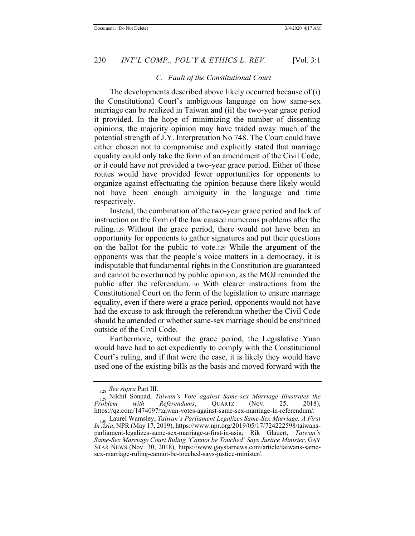# *C. Fault of the Constitutional Court*

The developments described above likely occurred because of (i) the Constitutional Court's ambiguous language on how same-sex marriage can be realized in Taiwan and (ii) the two-year grace period it provided. In the hope of minimizing the number of dissenting opinions, the majority opinion may have traded away much of the potential strength of J.Y. Interpretation No 748. The Court could have either chosen not to compromise and explicitly stated that marriage equality could only take the form of an amendment of the Civil Code, or it could have not provided a two-year grace period. Either of those routes would have provided fewer opportunities for opponents to organize against effectuating the opinion because there likely would not have been enough ambiguity in the language and time respectively.

Instead, the combination of the two-year grace period and lack of instruction on the form of the law caused numerous problems after the ruling.128 Without the grace period, there would not have been an opportunity for opponents to gather signatures and put their questions on the ballot for the public to vote.129 While the argument of the opponents was that the people's voice matters in a democracy, it is indisputable that fundamental rights in the Constitution are guaranteed and cannot be overturned by public opinion, as the MOJ reminded the public after the referendum.130 With clearer instructions from the Constitutional Court on the form of the legislation to ensure marriage equality, even if there were a grace period, opponents would not have had the excuse to ask through the referendum whether the Civil Code should be amended or whether same-sex marriage should be enshrined outside of the Civil Code.

Furthermore, without the grace period, the Legislative Yuan would have had to act expediently to comply with the Constitutional Court's ruling, and if that were the case, it is likely they would have used one of the existing bills as the basis and moved forward with the

<sup>128</sup> *See supra* Part III.

<sup>129</sup> Nikhil Sonnad, *Taiwan's Vote against Same-sex Marriage Illustrates the Referendums*, https://qz.com/1474097/taiwan-votes-against-same-sex-marriage-in-referendum/.

<sup>130</sup> Laurel Wamsley, *Taiwan's Parliament Legalizes Same-Sex Marriage, A First In Asia*, NPR (May 17, 2019), https://www.npr.org/2019/05/17/724222598/taiwansparliament-legalizes-same-sex-marriage-a-first-in-asia; Rik Glauert, *Taiwan's Same-Sex Marriage Court Ruling 'Cannot be Touched' Says Justice Minister*, GAY STAR NEWS (Nov. 30, 2018), https://www.gaystarnews.com/article/taiwans-samesex-marriage-ruling-cannot-be-touched-says-justice-minister/.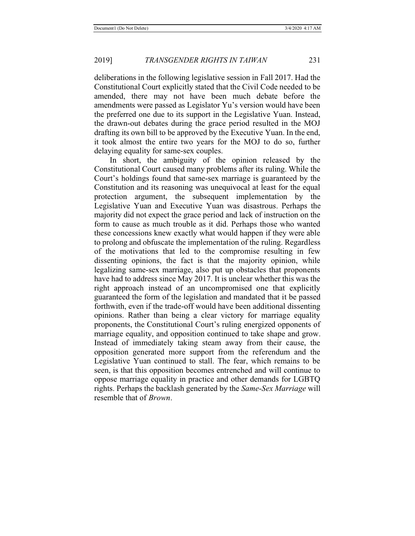deliberations in the following legislative session in Fall 2017. Had the Constitutional Court explicitly stated that the Civil Code needed to be amended, there may not have been much debate before the amendments were passed as Legislator Yu's version would have been the preferred one due to its support in the Legislative Yuan. Instead, the drawn-out debates during the grace period resulted in the MOJ drafting its own bill to be approved by the Executive Yuan. In the end, it took almost the entire two years for the MOJ to do so, further delaying equality for same-sex couples.

In short, the ambiguity of the opinion released by the Constitutional Court caused many problems after its ruling. While the Court's holdings found that same-sex marriage is guaranteed by the Constitution and its reasoning was unequivocal at least for the equal protection argument, the subsequent implementation by the Legislative Yuan and Executive Yuan was disastrous. Perhaps the majority did not expect the grace period and lack of instruction on the form to cause as much trouble as it did. Perhaps those who wanted these concessions knew exactly what would happen if they were able to prolong and obfuscate the implementation of the ruling. Regardless of the motivations that led to the compromise resulting in few dissenting opinions, the fact is that the majority opinion, while legalizing same-sex marriage, also put up obstacles that proponents have had to address since May 2017. It is unclear whether this was the right approach instead of an uncompromised one that explicitly guaranteed the form of the legislation and mandated that it be passed forthwith, even if the trade-off would have been additional dissenting opinions. Rather than being a clear victory for marriage equality proponents, the Constitutional Court's ruling energized opponents of marriage equality, and opposition continued to take shape and grow. Instead of immediately taking steam away from their cause, the opposition generated more support from the referendum and the Legislative Yuan continued to stall. The fear, which remains to be seen, is that this opposition becomes entrenched and will continue to oppose marriage equality in practice and other demands for LGBTQ rights. Perhaps the backlash generated by the *Same-Sex Marriage* will resemble that of *Brown*.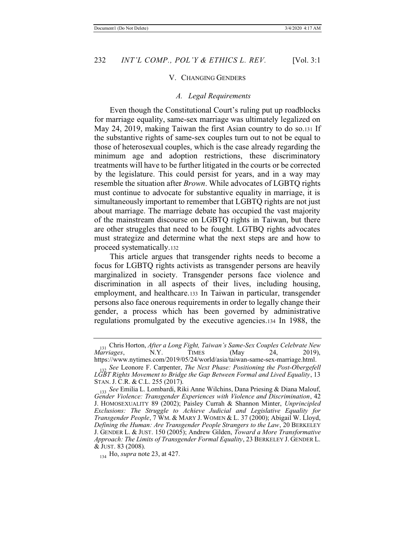### V. CHANGING GENDERS

#### *A. Legal Requirements*

Even though the Constitutional Court's ruling put up roadblocks for marriage equality, same-sex marriage was ultimately legalized on May 24, 2019, making Taiwan the first Asian country to do so.131 If the substantive rights of same-sex couples turn out to not be equal to those of heterosexual couples, which is the case already regarding the minimum age and adoption restrictions, these discriminatory treatments will have to be further litigated in the courts or be corrected by the legislature. This could persist for years, and in a way may resemble the situation after *Brown*. While advocates of LGBTQ rights must continue to advocate for substantive equality in marriage, it is simultaneously important to remember that LGBTQ rights are not just about marriage. The marriage debate has occupied the vast majority of the mainstream discourse on LGBTQ rights in Taiwan, but there are other struggles that need to be fought. LGTBQ rights advocates must strategize and determine what the next steps are and how to proceed systematically.132

This article argues that transgender rights needs to become a focus for LGBTQ rights activists as transgender persons are heavily marginalized in society. Transgender persons face violence and discrimination in all aspects of their lives, including housing, employment, and healthcare.133 In Taiwan in particular, transgender persons also face onerous requirements in order to legally change their gender, a process which has been governed by administrative regulations promulgated by the executive agencies.134 In 1988, the

<sup>131</sup> Chris Horton, *After a Long Fight, Taiwan's Same-Sex Couples Celebrate New Marriages,* https://www.nytimes.com/2019/05/24/world/asia/taiwan-same-sex-marriage.html.

<sup>132</sup> *See* Leonore F. Carpenter, *The Next Phase: Positioning the Post-Obergefell LGBT Rights Movement to Bridge the Gap Between Formal and Lived Equality*, 13 STAN. J. C.R. & C.L. 255 (2017).

<sup>133</sup> *See* Emilia L. Lombardi, Riki Anne Wilchins, Dana Priesing & Diana Malouf, *Gender Violence: Transgender Experiences with Violence and Discrimination*, 42 J. HOMOSEXUALITY 89 (2002); Paisley Currah & Shannon Minter, *Unprincipled Exclusions: The Struggle to Achieve Judicial and Legislative Equality for Transgender People*, 7 WM. & MARY J. WOMEN & L. 37 (2000); Abigail W. Lloyd, *Defining the Human: Are Transgender People Strangers to the Law*, 20 BERKELEY J. GENDER L. & JUST. 150 (2005); Andrew Gilden, *Toward a More Transformative Approach: The Limits of Transgender Formal Equality*, 23 BERKELEY J. GENDER L. & JUST. 83 (2008).

<sup>134</sup> Ho, *supra* note 23, at 427.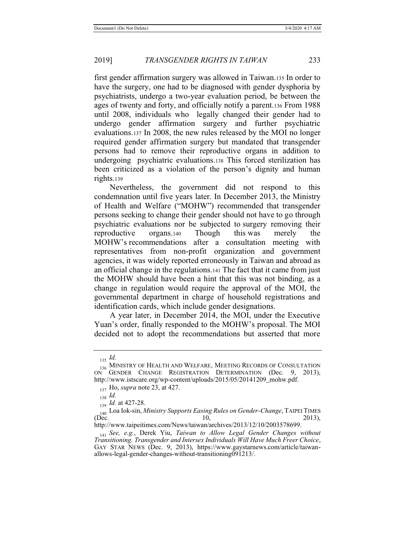first gender affirmation surgery was allowed in Taiwan.135 In order to have the surgery, one had to be diagnosed with gender dysphoria by psychiatrists, undergo a two-year evaluation period, be between the ages of twenty and forty, and officially notify a parent.136 From 1988 until 2008, individuals who legally changed their gender had to undergo gender affirmation surgery and further psychiatric evaluations.137 In 2008, the new rules released by the MOI no longer required gender affirmation surgery but mandated that transgender persons had to remove their reproductive organs in addition to undergoing psychiatric evaluations.138 This forced sterilization has been criticized as a violation of the person's dignity and human rights.139

Nevertheless, the government did not respond to this condemnation until five years later. In December 2013, the Ministry of Health and Welfare ("MOHW") recommended that transgender persons seeking to change their gender should not have to go through psychiatric evaluations nor be subjected to surgery removing their reproductive organs.140 Though this was merely the MOHW's recommendations after a consultation meeting with representatives from non-profit organization and government agencies, it was widely reported erroneously in Taiwan and abroad as an official change in the regulations.141 The fact that it came from just the MOHW should have been a hint that this was not binding, as a change in regulation would require the approval of the MOI, the governmental department in charge of household registrations and identification cards, which include gender designations.

A year later, in December 2014, the MOI, under the Executive Yuan's order, finally responded to the MOHW's proposal. The MOI decided not to adopt the recommendations but asserted that more

<sup>135</sup> *Id.*

<sup>136</sup> MINISTRY OF HEALTH AND WELFARE, MEETING RECORDS OF CONSULTATION ON GENDER CHANGE REGISTRATION DETERMINATION (Dec. 9, 2013), http://www.istscare.org/wp-content/uploads/2015/05/20141209\_mohw.pdf.

<sup>137</sup> Ho, *supra* note 23, at 427.

<sup>138</sup> *Id.*

<sup>139</sup> *Id.* at 427-28.

<sup>1&</sup>lt;sub>40</sub> Loa Iok-sin, *Ministry Supports Easing Rules on Gender-Change*, TAIPEI TIMES<br>(Dec. 2013). (Dec.  $10,$  2013),

http://www.taipeitimes.com/News/taiwan/archives/2013/12/10/2003578699.

<sup>141</sup> *See, e.g.*, Derek Yiu, *Taiwan to Allow Legal Gender Changes without Transitioning. Transgender and Intersex Individuals Will Have Much Freer Choice*, GAY STAR NEWS (Dec. 9, 2013), https://www.gaystarnews.com/article/taiwanallows-legal-gender-changes-without-transitioning091213/.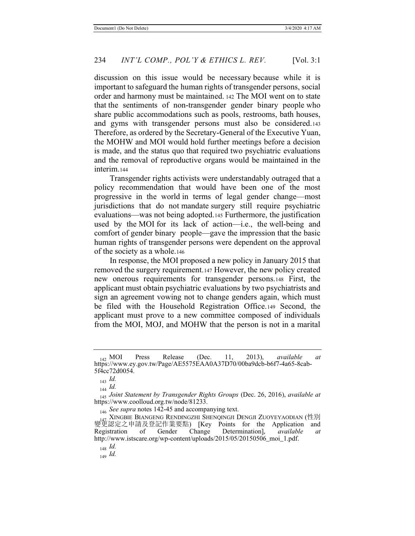discussion on this issue would be necessary because while it is important to safeguard the human rights of transgender persons, social order and harmony must be maintained. 142 The MOI went on to state that the sentiments of non-transgender gender binary people who share public accommodations such as pools, restrooms, bath houses, and gyms with transgender persons must also be considered.143 Therefore, as ordered by the Secretary-General of the Executive Yuan, the MOHW and MOI would hold further meetings before a decision is made, and the status quo that required two psychiatric evaluations and the removal of reproductive organs would be maintained in the interim.144

Transgender rights activists were understandably outraged that a policy recommendation that would have been one of the most progressive in the world in terms of legal gender change—most jurisdictions that do not mandate surgery still require psychiatric evaluations—was not being adopted.145 Furthermore, the justification used by the MOI for its lack of action—i.e., the well-being and comfort of gender binary people—gave the impression that the basic human rights of transgender persons were dependent on the approval of the society as a whole.146

In response, the MOI proposed a new policy in January 2015 that removed the surgery requirement.147 However, the new policy created new onerous requirements for transgender persons.148 First, the applicant must obtain psychiatric evaluations by two psychiatrists and sign an agreement vowing not to change genders again, which must be filed with the Household Registration Office.149 Second, the applicant must prove to a new committee composed of individuals from the MOI, MOJ, and MOHW that the person is not in a marital

<sup>146</sup> *See supra* notes 142-45 and accompanying text.

<sup>142</sup> MOI Press Release (Dec. 11, 2013), *available at*  https://www.ey.gov.tw/Page/AE5575EAA0A37D70/00ba9dcb-b6f7-4a65-8cab-5f4cc72d0054.

<sup>143</sup> *Id.*

<sup>144</sup> *Id.*

<sup>145</sup> *Joint Statement by Transgender Rights Groups* (Dec. 26, 2016), *available at* https://www.coolloud.org.tw/node/81233.

XINGBIE BIANGENG RENDINGZHI SHENQINGJI DENGJI ZUOYEYAODIAN (性別<br>認定之申請及登記作業要點) IKey Points for the Application and 變更認定之申請及登記作業要點) [Key Points for the Application and Registration of Gender Change Determination], *available at* http://www.istscare.org/wp-content/uploads/2015/05/20150506\_moi\_1.pdf.

<sup>148</sup> *Id.*

<sup>149</sup> *Id.*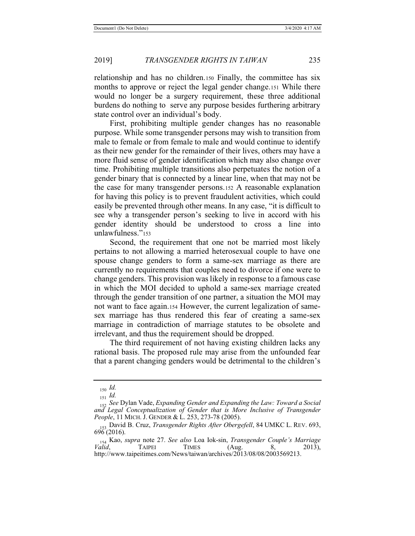relationship and has no children.150 Finally, the committee has six months to approve or reject the legal gender change.151 While there would no longer be a surgery requirement, these three additional burdens do nothing to serve any purpose besides furthering arbitrary state control over an individual's body.

First, prohibiting multiple gender changes has no reasonable purpose. While some transgender persons may wish to transition from male to female or from female to male and would continue to identify as their new gender for the remainder of their lives, others may have a more fluid sense of gender identification which may also change over time. Prohibiting multiple transitions also perpetuates the notion of a gender binary that is connected by a linear line, when that may not be the case for many transgender persons.152 A reasonable explanation for having this policy is to prevent fraudulent activities, which could easily be prevented through other means. In any case, "it is difficult to see why a transgender person's seeking to live in accord with his gender identity should be understood to cross a line into unlawfulness."<sup>153</sup>

Second, the requirement that one not be married most likely pertains to not allowing a married heterosexual couple to have one spouse change genders to form a same-sex marriage as there are currently no requirements that couples need to divorce if one were to change genders. This provision was likely in response to a famous case in which the MOI decided to uphold a same-sex marriage created through the gender transition of one partner, a situation the MOI may not want to face again.154 However, the current legalization of samesex marriage has thus rendered this fear of creating a same-sex marriage in contradiction of marriage statutes to be obsolete and irrelevant, and thus the requirement should be dropped.

The third requirement of not having existing children lacks any rational basis. The proposed rule may arise from the unfounded fear that a parent changing genders would be detrimental to the children's

<sup>150</sup> *Id.*

<sup>151</sup> *Id.*

<sup>152</sup> *See* Dylan Vade, *Expanding Gender and Expanding the Law: Toward a Social*  and Legal Conceptualization of Gender that is More Inclusive of Transgender *People*, 11 MICH. J. GENDER & L. 253, 273-78 (2005).

<sup>153</sup> David B. Cruz, *Transgender Rights After Obergefell*, 84 UMKC L. REV. 693, 696 (2016).

<sup>154</sup> Kao, *supra* note 27. *See also* Loa Iok-sin, *Transgender Couple's Marriage Valid*, **TAIPEI** TIMES (Aug. 8, 2013), http://www.taipeitimes.com/News/taiwan/archives/2013/08/08/2003569213.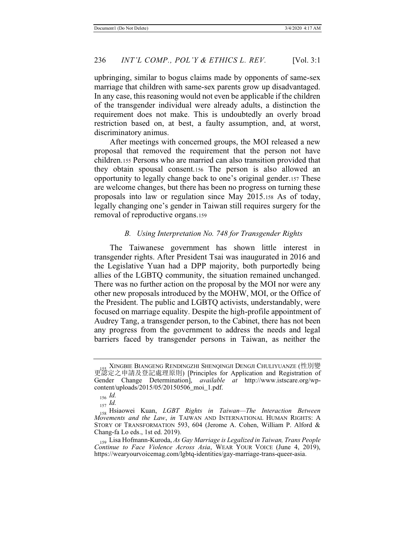upbringing, similar to bogus claims made by opponents of same-sex marriage that children with same-sex parents grow up disadvantaged. In any case, this reasoning would not even be applicable if the children of the transgender individual were already adults, a distinction the requirement does not make. This is undoubtedly an overly broad restriction based on, at best, a faulty assumption, and, at worst, discriminatory animus.

After meetings with concerned groups, the MOI released a new proposal that removed the requirement that the person not have children.155 Persons who are married can also transition provided that they obtain spousal consent.156 The person is also allowed an opportunity to legally change back to one's original gender.157 These are welcome changes, but there has been no progress on turning these proposals into law or regulation since May 2015.158 As of today, legally changing one's gender in Taiwan still requires surgery for the removal of reproductive organs.159

#### *B. Using Interpretation No. 748 for Transgender Rights*

The Taiwanese government has shown little interest in transgender rights. After President Tsai was inaugurated in 2016 and the Legislative Yuan had a DPP majority, both purportedly being allies of the LGBTQ community, the situation remained unchanged. There was no further action on the proposal by the MOI nor were any other new proposals introduced by the MOHW, MOI, or the Office of the President. The public and LGBTQ activists, understandably, were focused on marriage equality. Despite the high-profile appointment of Audrey Tang, a transgender person, to the Cabinet, there has not been any progress from the government to address the needs and legal barriers faced by transgender persons in Taiwan, as neither the

XINGBIE BIANGENG RENDINGZHI SHENOINGJI DENGJI CHULIYUANZE (性別變 更認定之申請及登記處理原則) [Principles for Application and Registration of Gender Change Determination], *available at* http://www.istscare.org/wpcontent/uploads/2015/05/20150506\_moi\_1.pdf.

<sup>156</sup> *Id.*

<sup>157</sup> *Id.*

<sup>158</sup> Hsiaowei Kuan, *LGBT Rights in Taiwan—The Interaction Between Movements and the Law*, *in* TAIWAN AND INTERNATIONAL HUMAN RIGHTS: A STORY OF TRANSFORMATION 593, 604 (Jerome A. Cohen, William P. Alford & Chang-fa Lo eds., 1st ed. 2019).

<sup>159</sup> Lisa Hofmann-Kuroda, *As Gay Marriage is Legalized in Taiwan, Trans People Continue to Face Violence Across Asia*, WEAR YOUR VOICE (June 4, 2019), https://wearyourvoicemag.com/lgbtq-identities/gay-marriage-trans-queer-asia.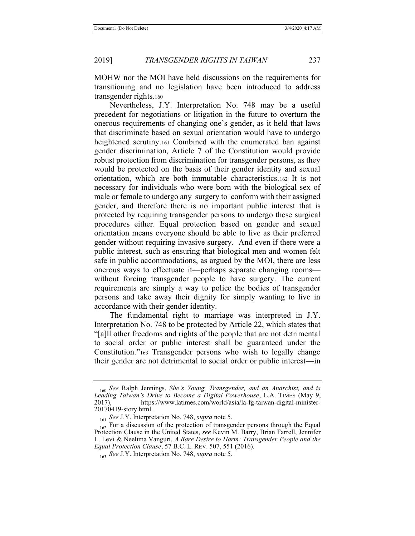MOHW nor the MOI have held discussions on the requirements for transitioning and no legislation have been introduced to address transgender rights.160

Nevertheless, J.Y. Interpretation No. 748 may be a useful precedent for negotiations or litigation in the future to overturn the onerous requirements of changing one's gender, as it held that laws that discriminate based on sexual orientation would have to undergo heightened scrutiny.161 Combined with the enumerated ban against gender discrimination, Article 7 of the Constitution would provide robust protection from discrimination for transgender persons, as they would be protected on the basis of their gender identity and sexual orientation, which are both immutable characteristics.162 It is not necessary for individuals who were born with the biological sex of male or female to undergo any surgery to conform with their assigned gender, and therefore there is no important public interest that is protected by requiring transgender persons to undergo these surgical procedures either. Equal protection based on gender and sexual orientation means everyone should be able to live as their preferred gender without requiring invasive surgery. And even if there were a public interest, such as ensuring that biological men and women felt safe in public accommodations, as argued by the MOI, there are less onerous ways to effectuate it—perhaps separate changing rooms without forcing transgender people to have surgery. The current requirements are simply a way to police the bodies of transgender persons and take away their dignity for simply wanting to live in accordance with their gender identity.

The fundamental right to marriage was interpreted in J.Y. Interpretation No. 748 to be protected by Article 22, which states that "[a]ll other freedoms and rights of the people that are not detrimental to social order or public interest shall be guaranteed under the Constitution."163 Transgender persons who wish to legally change their gender are not detrimental to social order or public interest—in

<sup>160</sup> *See* Ralph Jennings, *She's Young, Transgender, and an Anarchist, and is Leading Taiwan's Drive to Become a Digital Powerhouse*, L.A. TIMES (May 9, 2017), https://www.latimes.com/world/asia/la-fg-taiwan-digital-minister-20170419-story.html.

<sup>161</sup> *See* J.Y. Interpretation No. 748, *supra* note 5.

<sup>&</sup>lt;sub>162</sub> For a discussion of the protection of transgender persons through the Equal Protection Clause in the United States, *see* Kevin M. Barry, Brian Farrell, Jennifer L. Levi & Neelima Vanguri, *A Bare Desire to Harm: Transgender People and the Equal Protection Clause*, 57 B.C. L. REV. 507, 551 (2016).

<sup>163</sup> *See* J.Y. Interpretation No. 748, *supra* note 5.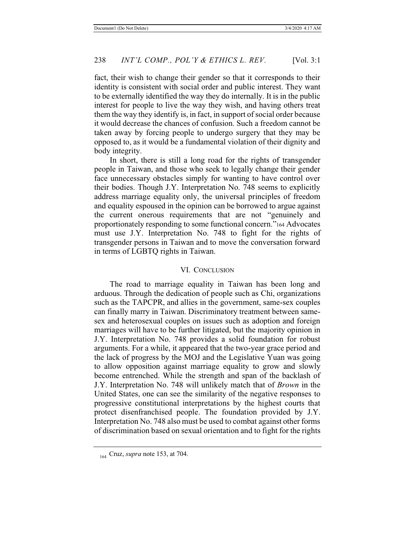fact, their wish to change their gender so that it corresponds to their identity is consistent with social order and public interest. They want to be externally identified the way they do internally. It is in the public interest for people to live the way they wish, and having others treat them the way they identify is, in fact, in support of social order because it would decrease the chances of confusion. Such a freedom cannot be taken away by forcing people to undergo surgery that they may be opposed to, as it would be a fundamental violation of their dignity and body integrity.

In short, there is still a long road for the rights of transgender people in Taiwan, and those who seek to legally change their gender face unnecessary obstacles simply for wanting to have control over their bodies. Though J.Y. Interpretation No. 748 seems to explicitly address marriage equality only, the universal principles of freedom and equality espoused in the opinion can be borrowed to argue against the current onerous requirements that are not "genuinely and proportionately responding to some functional concern."164 Advocates must use J.Y. Interpretation No. 748 to fight for the rights of transgender persons in Taiwan and to move the conversation forward in terms of LGBTQ rights in Taiwan.

### VI. CONCLUSION

The road to marriage equality in Taiwan has been long and arduous. Through the dedication of people such as Chi, organizations such as the TAPCPR, and allies in the government, same-sex couples can finally marry in Taiwan. Discriminatory treatment between samesex and heterosexual couples on issues such as adoption and foreign marriages will have to be further litigated, but the majority opinion in J.Y. Interpretation No. 748 provides a solid foundation for robust arguments. For a while, it appeared that the two-year grace period and the lack of progress by the MOJ and the Legislative Yuan was going to allow opposition against marriage equality to grow and slowly become entrenched. While the strength and span of the backlash of J.Y. Interpretation No. 748 will unlikely match that of *Brown* in the United States, one can see the similarity of the negative responses to progressive constitutional interpretations by the highest courts that protect disenfranchised people. The foundation provided by J.Y. Interpretation No. 748 also must be used to combat against other forms of discrimination based on sexual orientation and to fight for the rights

<sup>164</sup> Cruz, *supra* note 153, at 704.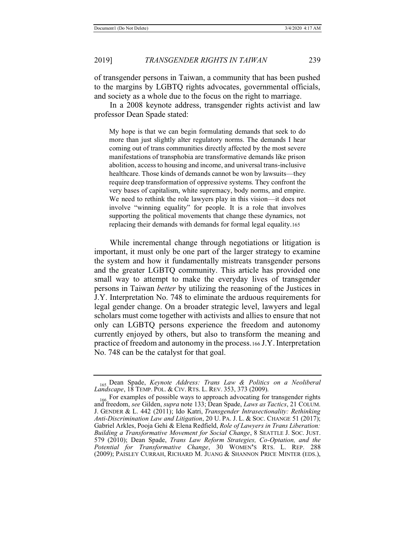of transgender persons in Taiwan, a community that has been pushed to the margins by LGBTQ rights advocates, governmental officials, and society as a whole due to the focus on the right to marriage.

In a 2008 keynote address, transgender rights activist and law professor Dean Spade stated:

My hope is that we can begin formulating demands that seek to do more than just slightly alter regulatory norms. The demands I hear coming out of trans communities directly affected by the most severe manifestations of transphobia are transformative demands like prison abolition, access to housing and income, and universal trans-inclusive healthcare. Those kinds of demands cannot be won by lawsuits—they require deep transformation of oppressive systems. They confront the very bases of capitalism, white supremacy, body norms, and empire. We need to rethink the role lawyers play in this vision—it does not involve "winning equality" for people. It is a role that involves supporting the political movements that change these dynamics, not replacing their demands with demands for formal legal equality.165

While incremental change through negotiations or litigation is important, it must only be one part of the larger strategy to examine the system and how it fundamentally mistreats transgender persons and the greater LGBTQ community. This article has provided one small way to attempt to make the everyday lives of transgender persons in Taiwan *better* by utilizing the reasoning of the Justices in J.Y. Interpretation No. 748 to eliminate the arduous requirements for legal gender change. On a broader strategic level, lawyers and legal scholars must come together with activists and allies to ensure that not only can LGBTQ persons experience the freedom and autonomy currently enjoyed by others, but also to transform the meaning and practice of freedom and autonomy in the process.166 J.Y. Interpretation No. 748 can be the catalyst for that goal.

<sup>165</sup> Dean Spade, *Keynote Address: Trans Law & Politics on a Neoliberal Landscape*, 18 TEMP. POL. & CIV. RTS. L. REV. 353, 373 (2009).

<sup>&</sup>lt;sub>166</sub> For examples of possible ways to approach advocating for transgender rights and freedom, *see* Gilden, *supra* note 133; Dean Spade, *Laws as Tactics*, 21 COLUM. J. GENDER & L. 442 (2011); Ido Katri, *Transgender Intrasectionality: Rethinking Anti-Discrimination Law and Litigation*, 20 U. PA. J. L. & SOC. CHANGE 51 (2017); Gabriel Arkles, Pooja Gehi & Elena Redfield, *Role of Lawyers in Trans Liberation: Building a Transformative Movement for Social Change*, 8 SEATTLE J. SOC. JUST. 579 (2010); Dean Spade, *Trans Law Reform Strategies, Co-Optation, and the Potential for Transformative Change*, 30 WOMEN**'**S RTS. L. REP. 288 (2009); PAISLEY CURRAH, RICHARD M. JUANG & SHANNON PRICE MINTER (EDS.),